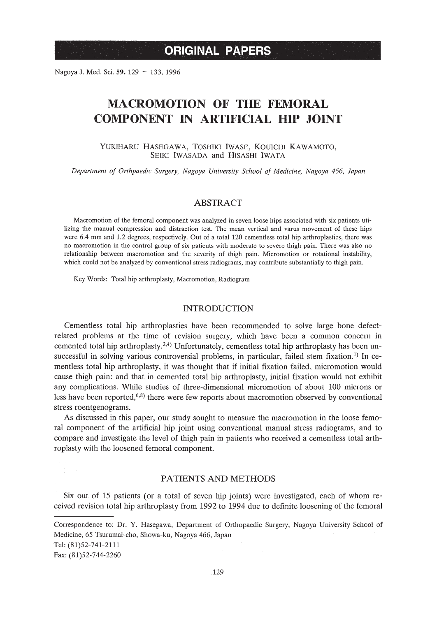Nagoya J. Med. Sci. 59. 129 ~ 133, 1996

# **MACROMOTION OF THE FEMORAL COMPONENT IN ARTIFICIAL HIP JOINT**

### YUKIHARU HASEGAWA, TOSHIKI IWASE, KOUICHI KAWAMOTO, SEIKI IWASADA and HISASHI IWATA

*Department of Orthpaedic Surgery, Nagoya University School of Medicine, Nagoya* 466, *Japan*

# *ABSTRACT*

Macromotion of the femoral component was analyzed in seven loose hips associated with six patients utilizing the manual compression and distraction test. The mean vertical and varus movement of these hips were 6.4 mm and 1.2 degrees, respectively. Out of a total 120 cementless total hip arthroplasties, there was no macromotion in the control group of six patients with moderate to severe thigh pain. There was also no relationship between macromotion and the severity of thigh pain. Micromotion or rotational instability, which could not be analyzed by conventional stress radiograms, may contribute substantially to thigh pain.

Key Words: Total hip arthroplasty, Macromotion, Radiogram

### INTRODUCTION

Cementless total hip arthroplasties have been recommended to solve large bone defectrelated problems at the time of revision surgery, which have been a common concern in cemented total hip arthroplasty.<sup>2,4)</sup> Unfortunately, cementless total hip arthroplasty has been unsuccessful in solving various controversial problems, in particular, failed stem fixation.<sup>1)</sup> In cementless total hip arthroplasty, it was thought that if initial fixation failed, micromotion would cause thigh pain: and that in cemented total hip arthroplasty, initial fixation would not exhibit any complications. While studies of three-dimensional micromotion of about 100 microns or less have been reported,<sup>6,8)</sup> there were few reports about macromotion observed by conventional stress roentgenograms.

As discussed in this paper, our study sought to measure the macromotion in the loose femoral component of the artificial hip joint using conventional manual stress radiograms, and to compare and investigate the level of thigh pain in patients who received a cementless total arthroplasty with the loosened femoral component.

## PATIENTS AND METHODS

Six out of 15 patients (or a total of seven hip joints) were investigated, each of whom received revision total hip arthroplasty from 1992 to 1994 due to definite loosening of the femoral

Correspondence to: Dr. Y. Hasegawa, Department of Orthopaedic Surgery, Nagoya University School of Medicine, 65 Tsurumai-cho, Showa-ku, Nagoya 466, Japan Tel: (81)52-741-2111 Fax: (81)52-744-2260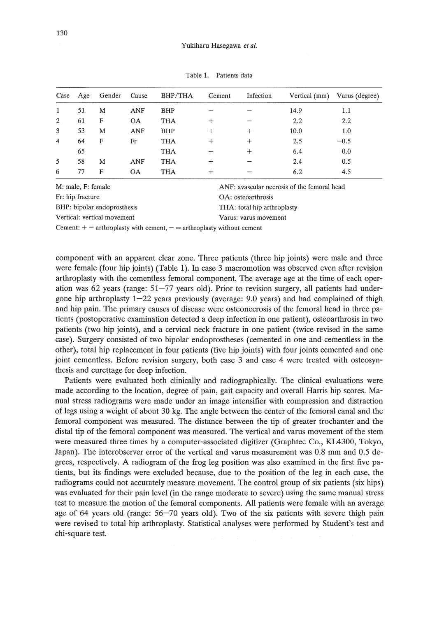| Case           | Age | Gender | Cause      | BHP/THA    | Cement | Infection | Vertical (mm) | Varus (degree) |
|----------------|-----|--------|------------|------------|--------|-----------|---------------|----------------|
| 1              | 51  | M      | <b>ANF</b> | <b>BHP</b> |        |           | 14.9          | 1.1            |
| 2              | 61  | F      | <b>OA</b>  | <b>THA</b> | $\pm$  |           | 2.2           | 2.2            |
| 3              | 53  | M      | ANF        | <b>BHP</b> | +      | $^{+}$    | 10.0          | 1.0            |
| $\overline{4}$ | 64  | F      | Fr         | <b>THA</b> | ┿      | $^{+}$    | 2.5           | $-0.5$         |
|                | 65  |        |            | <b>THA</b> |        | ┿         | 6.4           | 0.0            |
| 5              | 58  | M      | <b>ANF</b> | <b>THA</b> |        |           | 2.4           | 0.5            |
| 6              | 77  | F      | <b>OA</b>  | THA        |        |           | 6.2           | 4.5            |
|                |     |        |            |            |        |           |               |                |

Table 1. Patients data

| M: male, F: female                                                        | ANF: avascular necrosis of the femoral head |
|---------------------------------------------------------------------------|---------------------------------------------|
| Fr: hip fracture                                                          | OA: osteoarthrosis                          |
| BHP: bipolar endoprosthesis                                               | THA: total hip arthroplasty                 |
| Vertical: vertical movement                                               | Varus: varus movement                       |
| Cement: $+$ = arthroplasty with cement, $-$ = arthroplasty without cement |                                             |

component with an apparent clear zone. Three patients (three hip joints) were male and three were female (four hip joints) (Table 1). In case 3 macromotion was observed even after revision arthroplasty with the cementless femoral component. The average age at the time of each operation was 62 years (range: 51-77 years old). Prior to revision surgery, all patients had undergone hip arthroplasty  $1-22$  years previously (average:  $9.0$  years) and had complained of thigh and hip pain. The primary causes of disease were osteonecrosis of the femoral head in three patients (postoperative examination detected a deep infection in one patient), osteoarthrosis in two patients (two hip joints), and a cervical neck fracture in one patient (twice revised in the same case). Surgery consisted of two bipolar endoprostheses (cemented in one and cementless in the other), total hip replacement in four patients (five hip joints) with four joints cemented and one joint cementless. Before revision surgery, both case 3 and case 4 were treated with osteosynthesis and curettage for deep infection.

Patients were evaluated both clinically and radiographically. The clinical evaluations were made according to the location, degree of pain, gait capacity and overall Harris hip scores. Manual stress radiograms were made under an image intensifier with compression and distraction of legs using a weight of about 30 kg. The angle between the center of the femoral canal and the femoral component was measured. The distance between the tip of greater trochanter and the distal tip of the femoral component was measured. The vertical and varus movement of the stem were measured three times by a computer-associated digitizer (Graphtec Co., KL4300, Tokyo, Japan). The interobserver error of the vertical and varus measurement was 0.8 mm and 0.5 degrees, respectively. A radiogram of the frog leg position was also examined in the first five patients, but its findings were excluded because, due to the position of the leg in each case, the radiograms could not accurately measure movement. The control group of six patients (six hips) was evaluated for their pain level (in the range moderate to severe) using the same manual stress test to measure the motion of the femoral components. All patients were female with an average age of 64 years old (range: 56-70 years old). Two of the six patients with severe thigh pain were revised to total hip arthroplasty. Statistical analyses were performed by Student's test and chi-square test.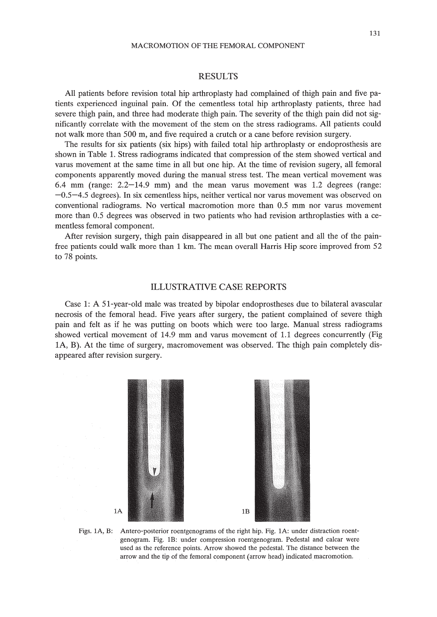#### RESULTS

All patients before revision total hip arthroplasty had complained of thigh pain and five patients experienced inguinal pain. Of the cementless total hip arthroplasty patients, three had severe thigh pain, and three had moderate thigh pain. The severity of the thigh pain did not significantly correlate with the movement of the stem on the stress radiograms. All patients could not walk more than 500 m, and five required a crutch or a cane before revision surgery.

The results for six patients (six hips) with failed total hip arthroplasty or endoprosthesis are shown in Table 1. Stress radiograms indicated that compression of the stem showed vertical and varus movement at the same time in all but one hip. At the time of revision sugery, all femoral components apparently moved during the manual stress test. The mean vertical movement was 6.4 mm (range: 2.2-14.9 mm) and the mean varus movement was 1.2 degrees (range:  $-0.5-4.5$  degrees). In six cementless hips, neither vertical nor varus movement was observed on conventional radiograms. No vertical macromotion more than 0.5 mm nor varus movement more than 0.5 degrees was observed in two patients who had revision arthroplasties with a cementless femoral component.

After revision surgery, thigh pain disappeared in all but one patient and all the of the painfree patients could walk more than 1 km. The mean overall Harris Hip score improved from 52 to 78 points.

#### ILLUSTRATIVE CASE REPORTS

Case 1: A 51-year-old male was treated by bipolar endoprostheses due to bilateral avascular necrosis of the femoral head. Five years after surgery, the patient complained of severe thigh pain and felt as if he was putting on boots which were too large. Manual stress radiograms showed vertical movement of 14.9 mm and varus movement of 1.1 degrees concurrently (Fig lA, B). At the time of surgery, macromovement was observed. The thigh pain completely disappeared after revision surgery.



Figs. lA, B: Antero-posterior roentgenograms of the right hip. Fig. lA: under distraction roentgenogram. Fig. lB: under compression roentgenogram. Pedestal and calcar were used as the reference points. Arrow showed the pedestal. The distance between the arrow and the tip of the femoral component (arrow head) indicated macromotion.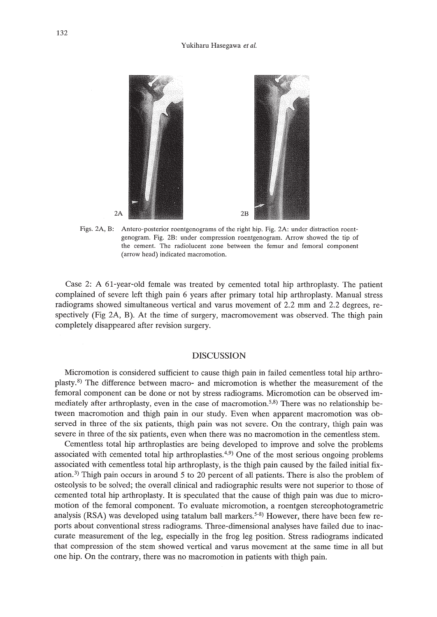

Figs. 2A, B: Antero-posterior roentgenograms of the right hip. Fig. 2A: under distraction roentgenogram. Fig. 2B: under compression roentgenogram. Arrow showed the tip of the cement. The radiolucent zone between the femur and femoral component (arrow head) indicated macromotion.

Case 2: A 61-year-old female was treated by cemented total hip arthroplasty. The patient complained of severe left thigh pain 6 years after primary total hip arthroplasty. Manual stress radiograms showed simultaneous vertical and varus movement of 2.2 mm and 2.2 degrees, respectively (Fig 2A, B). At the time of surgery, macromovement was observed. The thigh pain completely disappeared after revision surgery.

# DISCUSSION

Micromotion is considered sufficient to cause thigh pain in failed cementless total hip arthroplasty.<sup>8)</sup> The difference between macro- and micromotion is whether the measurement of the femoral component can be done or not by stress radiograms. Micromotion can be observed immediately after arthroplasty, even in the case of macromotion.<sup>5,8)</sup> There was no relationship between macromotion and thigh pain in our study. Even when apparent macromotion was observed in three of the six patients, thigh pain was not severe. On the contrary, thigh pain was severe in three of the six patients, even when there was no macromotion in the cementless stem.

Cementless total hip arthroplasties are being developed to improve and solve the problems associated with cemented total hip arthroplasties. 4,9) One of the most serious ongoing problems associated with cementless total hip arthroplasty, is the thigh pain caused by the failed initial fixation. 3) Thigh pain occurs in around 5 to 20 percent of all patients. There is also the problem of osteolysis to be solved; the overall clinical and radiographic results were not superior to those of cemented total hip arthroplasty. It is speculated that the cause of thigh pain was due to micromotion of the femoral component. To evaluate micromotion, a roentgen stereophotogrametric analysis (RSA) was developed using tatalum ball markers.<sup>5-8)</sup> However, there have been few reports about conventional stress radiograms. Three-dimensional analyses have failed due to inaccurate measurement of the leg, especially in the frog leg position. Stress radiograms indicated that compression of the stem showed vertical and varus movement at the same time in all but one hip. On the contrary, there was no macromotion in patients with thigh pain.